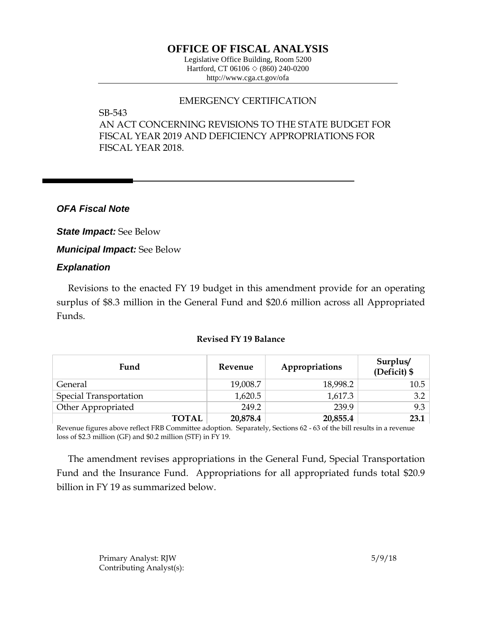# **OFFICE OF FISCAL ANALYSIS**

Legislative Office Building, Room 5200 Hartford, CT 06106  $\Diamond$  (860) 240-0200 http://www.cga.ct.gov/ofa

## EMERGENCY CERTIFICATION

SB-543

AN ACT CONCERNING REVISIONS TO THE STATE BUDGET FOR FISCAL YEAR 2019 AND DEFICIENCY APPROPRIATIONS FOR FISCAL YEAR 2018.

*OFA Fiscal Note*

*State Impact:* See Below

*Municipal Impact:* See Below

## *Explanation*

Revisions to the enacted FY 19 budget in this amendment provide for an operating surplus of \$8.3 million in the General Fund and \$20.6 million across all Appropriated Funds.

### **Revised FY 19 Balance**

| Fund                          | Revenue  | Appropriations | Surplus/<br>(Deficit) \$ |
|-------------------------------|----------|----------------|--------------------------|
| General                       | 19,008.7 | 18,998.2       | 10.5                     |
| <b>Special Transportation</b> | 1,620.5  | 1,617.3        | 3.2                      |
| Other Appropriated            | 249.2    | 239.9          | 9.3                      |
| <b>TOTAL</b>                  | 20,878.4 | 20,855.4       | 23.1                     |

Revenue figures above reflect FRB Committee adoption. Separately, Sections 62 - 63 of the bill results in a revenue loss of \$2.3 million (GF) and \$0.2 million (STF) in FY 19.

The amendment revises appropriations in the General Fund, Special Transportation Fund and the Insurance Fund. Appropriations for all appropriated funds total \$20.9 billion in FY 19 as summarized below.

> Primary Analyst: RJW 5/9/18 Contributing Analyst(s):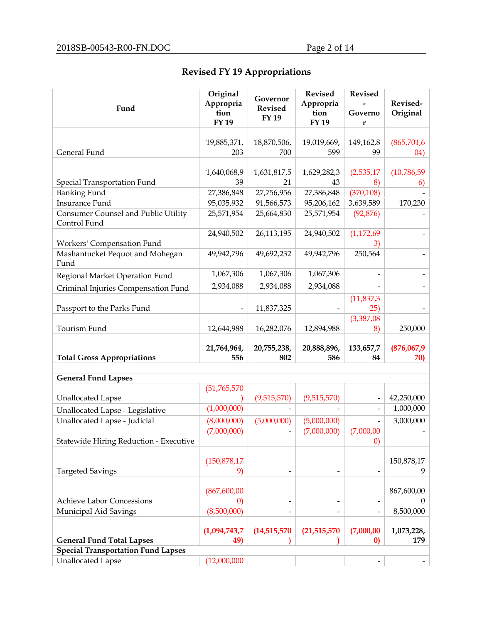# **Revised FY 19 Appropriations**

| Fund                                                | Original<br>Appropria | Governor<br><b>Revised</b> | <b>Revised</b><br>Appropria | <b>Revised</b>    | Revised-    |
|-----------------------------------------------------|-----------------------|----------------------------|-----------------------------|-------------------|-------------|
|                                                     | tion<br>FY 19         | FY 19                      | tion<br>FY 19               | Governo<br>r      | Original    |
|                                                     | 19,885,371,           | 18,870,506,                | 19,019,669,                 | 149,162,8         | (865,701,6  |
| General Fund                                        | 203                   | 700                        | 599                         | 99                | 04)         |
|                                                     | 1,640,068,9           | 1,631,817,5                | 1,629,282,3                 | (2,535,17)        | (10,786,59) |
| Special Transportation Fund                         | 39                    | 21                         | 43                          | 8)                | 6)          |
| <b>Banking Fund</b>                                 | 27,386,848            | 27,756,956                 | 27,386,848                  | (370, 108)        |             |
| <b>Insurance Fund</b>                               | 95,035,932            | 91,566,573                 | 95,206,162                  | 3,639,589         | 170,230     |
| Consumer Counsel and Public Utility<br>Control Fund | 25,571,954            | 25,664,830                 | 25,571,954                  | (92, 876)         |             |
|                                                     | 24,940,502            | 26,113,195                 | 24,940,502                  | (1, 172, 69)      |             |
| Workers' Compensation Fund                          |                       |                            |                             | 3)                |             |
| Mashantucket Pequot and Mohegan<br>Fund             | 49,942,796            | 49,692,232                 | 49,942,796                  | 250,564           |             |
| Regional Market Operation Fund                      | 1,067,306             | 1,067,306                  | 1,067,306                   |                   |             |
| Criminal Injuries Compensation Fund                 | 2,934,088             | 2,934,088                  | 2,934,088                   |                   |             |
|                                                     |                       |                            |                             | (11, 837, 3)      |             |
| Passport to the Parks Fund                          |                       | 11,837,325                 |                             | 25)               |             |
|                                                     |                       |                            |                             | (3,387,08)        |             |
| Tourism Fund                                        | 12,644,988            | 16,282,076                 | 12,894,988                  | 8)                | 250,000     |
|                                                     | 21,764,964,           | 20,755,238,                | 20,888,896,                 | 133,657,7         | (876,067,9) |
| <b>Total Gross Appropriations</b>                   | 556                   | 802                        | 586                         | 84                | 70)         |
|                                                     |                       |                            |                             |                   |             |
| <b>General Fund Lapses</b>                          |                       |                            |                             |                   |             |
|                                                     | (51, 765, 570)        |                            |                             |                   |             |
| <b>Unallocated Lapse</b>                            |                       | (9,515,570)                | (9,515,570)                 |                   | 42,250,000  |
| Unallocated Lapse - Legislative                     | (1,000,000)           |                            |                             |                   | 1,000,000   |
| Unallocated Lapse - Judicial                        | (8,000,000)           | (5,000,000)                | (5,000,000)                 |                   | 3,000,000   |
|                                                     | (7,000,000)           |                            | (7,000,000)                 | (7,000,00)        |             |
| Statewide Hiring Reduction - Executive              |                       |                            |                             | $\left( 0\right)$ |             |
|                                                     |                       |                            |                             |                   |             |
|                                                     | (150, 878, 17)        |                            |                             |                   | 150,878,17  |
| <b>Targeted Savings</b>                             | 9)                    |                            |                             |                   | 9           |
|                                                     | (867, 600, 00)        |                            |                             |                   | 867,600,00  |
| <b>Achieve Labor Concessions</b>                    | $\left( 0\right)$     |                            |                             |                   | $\theta$    |
| Municipal Aid Savings                               | (8,500,000)           |                            |                             |                   | 8,500,000   |
|                                                     |                       |                            |                             |                   |             |
|                                                     | (1,094,743,7)         | (14,515,570)               | (21,515,570)                | (7,000,00)        | 1,073,228,  |
| <b>General Fund Total Lapses</b>                    | 49)                   |                            |                             | $\bf{0}$          | 179         |
| <b>Special Transportation Fund Lapses</b>           |                       |                            |                             |                   |             |
| <b>Unallocated Lapse</b>                            | (12,000,000)          |                            |                             |                   |             |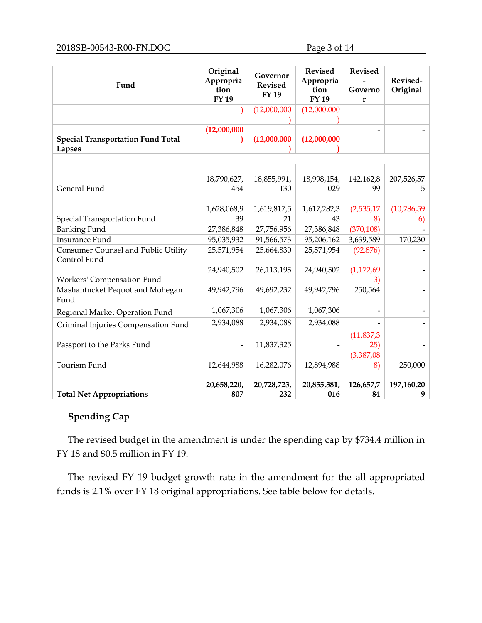| (12,000,000)<br>(12,000,000)<br>(12,000,000)<br>(12,000,000)<br>(12,000,000)<br><b>Special Transportation Fund Total</b><br><b>Lapses</b><br>207,526,57<br>18,790,627,<br>18,855,991,<br>18,998,154,<br>142,162,8<br>General Fund<br>454<br>130<br>029<br>99<br>5<br>(10,786,59)<br>1,628,068,9<br>1,619,817,5<br>1,617,282,3<br>(2,535,17)<br>Special Transportation Fund<br>39<br>21<br>43<br>8)<br>6)<br><b>Banking Fund</b><br>(370, 108)<br>27,386,848<br>27,386,848<br>27,756,956<br><b>Insurance Fund</b><br>170,230<br>95,035,932<br>91,566,573<br>95,206,162<br>3,639,589<br>Consumer Counsel and Public Utility<br>25,571,954<br>25,664,830<br>25,571,954<br>(92, 876)<br>Control Fund<br>(1,172,69)<br>24,940,502<br>26,113,195<br>24,940,502<br>Workers' Compensation Fund<br>3)<br>Mashantucket Pequot and Mohegan<br>250,564<br>49,942,796<br>49,692,232<br>49,942,796<br>Fund<br>1,067,306<br>1,067,306<br>1,067,306<br>Regional Market Operation Fund<br>2,934,088<br>2,934,088<br>2,934,088<br>Criminal Injuries Compensation Fund<br>(11, 837, 3)<br>Passport to the Parks Fund<br>25)<br>11,837,325<br>(3,387,08)<br>Tourism Fund<br>12,894,988<br>16,282,076<br>250,000<br>12,644,988<br>8)<br>20,658,220,<br>126,657,7 | Fund | Original<br>Appropria<br>tion<br><b>FY19</b> | Governor<br><b>Revised</b><br><b>FY 19</b> | <b>Revised</b><br>Appropria<br>tion<br>FY 19 | <b>Revised</b><br>Governo<br>r | Revised-<br>Original |
|---------------------------------------------------------------------------------------------------------------------------------------------------------------------------------------------------------------------------------------------------------------------------------------------------------------------------------------------------------------------------------------------------------------------------------------------------------------------------------------------------------------------------------------------------------------------------------------------------------------------------------------------------------------------------------------------------------------------------------------------------------------------------------------------------------------------------------------------------------------------------------------------------------------------------------------------------------------------------------------------------------------------------------------------------------------------------------------------------------------------------------------------------------------------------------------------------------------------------------------------|------|----------------------------------------------|--------------------------------------------|----------------------------------------------|--------------------------------|----------------------|
|                                                                                                                                                                                                                                                                                                                                                                                                                                                                                                                                                                                                                                                                                                                                                                                                                                                                                                                                                                                                                                                                                                                                                                                                                                             |      |                                              |                                            |                                              |                                |                      |
|                                                                                                                                                                                                                                                                                                                                                                                                                                                                                                                                                                                                                                                                                                                                                                                                                                                                                                                                                                                                                                                                                                                                                                                                                                             |      |                                              |                                            |                                              |                                |                      |
|                                                                                                                                                                                                                                                                                                                                                                                                                                                                                                                                                                                                                                                                                                                                                                                                                                                                                                                                                                                                                                                                                                                                                                                                                                             |      |                                              |                                            |                                              |                                |                      |
|                                                                                                                                                                                                                                                                                                                                                                                                                                                                                                                                                                                                                                                                                                                                                                                                                                                                                                                                                                                                                                                                                                                                                                                                                                             |      |                                              |                                            |                                              |                                |                      |
|                                                                                                                                                                                                                                                                                                                                                                                                                                                                                                                                                                                                                                                                                                                                                                                                                                                                                                                                                                                                                                                                                                                                                                                                                                             |      |                                              |                                            |                                              |                                |                      |
|                                                                                                                                                                                                                                                                                                                                                                                                                                                                                                                                                                                                                                                                                                                                                                                                                                                                                                                                                                                                                                                                                                                                                                                                                                             |      |                                              |                                            |                                              |                                |                      |
|                                                                                                                                                                                                                                                                                                                                                                                                                                                                                                                                                                                                                                                                                                                                                                                                                                                                                                                                                                                                                                                                                                                                                                                                                                             |      |                                              |                                            |                                              |                                |                      |
|                                                                                                                                                                                                                                                                                                                                                                                                                                                                                                                                                                                                                                                                                                                                                                                                                                                                                                                                                                                                                                                                                                                                                                                                                                             |      |                                              |                                            |                                              |                                |                      |
|                                                                                                                                                                                                                                                                                                                                                                                                                                                                                                                                                                                                                                                                                                                                                                                                                                                                                                                                                                                                                                                                                                                                                                                                                                             |      |                                              |                                            |                                              |                                |                      |
|                                                                                                                                                                                                                                                                                                                                                                                                                                                                                                                                                                                                                                                                                                                                                                                                                                                                                                                                                                                                                                                                                                                                                                                                                                             |      |                                              |                                            |                                              |                                |                      |
|                                                                                                                                                                                                                                                                                                                                                                                                                                                                                                                                                                                                                                                                                                                                                                                                                                                                                                                                                                                                                                                                                                                                                                                                                                             |      |                                              |                                            |                                              |                                |                      |
|                                                                                                                                                                                                                                                                                                                                                                                                                                                                                                                                                                                                                                                                                                                                                                                                                                                                                                                                                                                                                                                                                                                                                                                                                                             |      |                                              |                                            |                                              |                                |                      |
|                                                                                                                                                                                                                                                                                                                                                                                                                                                                                                                                                                                                                                                                                                                                                                                                                                                                                                                                                                                                                                                                                                                                                                                                                                             |      |                                              |                                            |                                              |                                |                      |
|                                                                                                                                                                                                                                                                                                                                                                                                                                                                                                                                                                                                                                                                                                                                                                                                                                                                                                                                                                                                                                                                                                                                                                                                                                             |      |                                              |                                            |                                              |                                |                      |
|                                                                                                                                                                                                                                                                                                                                                                                                                                                                                                                                                                                                                                                                                                                                                                                                                                                                                                                                                                                                                                                                                                                                                                                                                                             |      |                                              |                                            |                                              |                                |                      |
|                                                                                                                                                                                                                                                                                                                                                                                                                                                                                                                                                                                                                                                                                                                                                                                                                                                                                                                                                                                                                                                                                                                                                                                                                                             |      |                                              |                                            |                                              |                                |                      |
|                                                                                                                                                                                                                                                                                                                                                                                                                                                                                                                                                                                                                                                                                                                                                                                                                                                                                                                                                                                                                                                                                                                                                                                                                                             |      |                                              |                                            |                                              |                                |                      |
|                                                                                                                                                                                                                                                                                                                                                                                                                                                                                                                                                                                                                                                                                                                                                                                                                                                                                                                                                                                                                                                                                                                                                                                                                                             |      |                                              |                                            |                                              |                                |                      |
|                                                                                                                                                                                                                                                                                                                                                                                                                                                                                                                                                                                                                                                                                                                                                                                                                                                                                                                                                                                                                                                                                                                                                                                                                                             |      |                                              |                                            |                                              |                                |                      |
|                                                                                                                                                                                                                                                                                                                                                                                                                                                                                                                                                                                                                                                                                                                                                                                                                                                                                                                                                                                                                                                                                                                                                                                                                                             |      |                                              |                                            |                                              |                                |                      |
|                                                                                                                                                                                                                                                                                                                                                                                                                                                                                                                                                                                                                                                                                                                                                                                                                                                                                                                                                                                                                                                                                                                                                                                                                                             |      |                                              |                                            |                                              |                                |                      |
|                                                                                                                                                                                                                                                                                                                                                                                                                                                                                                                                                                                                                                                                                                                                                                                                                                                                                                                                                                                                                                                                                                                                                                                                                                             |      |                                              |                                            |                                              |                                |                      |
|                                                                                                                                                                                                                                                                                                                                                                                                                                                                                                                                                                                                                                                                                                                                                                                                                                                                                                                                                                                                                                                                                                                                                                                                                                             |      |                                              |                                            |                                              |                                |                      |
| 807<br>232<br>016<br>84<br><b>Total Net Appropriations</b><br>9                                                                                                                                                                                                                                                                                                                                                                                                                                                                                                                                                                                                                                                                                                                                                                                                                                                                                                                                                                                                                                                                                                                                                                             |      |                                              | 20,728,723,                                | 20,855,381,                                  |                                | 197,160,20           |

## **Spending Cap**

The revised budget in the amendment is under the spending cap by \$734.4 million in FY 18 and \$0.5 million in FY 19.

The revised FY 19 budget growth rate in the amendment for the all appropriated funds is 2.1% over FY 18 original appropriations. See table below for details.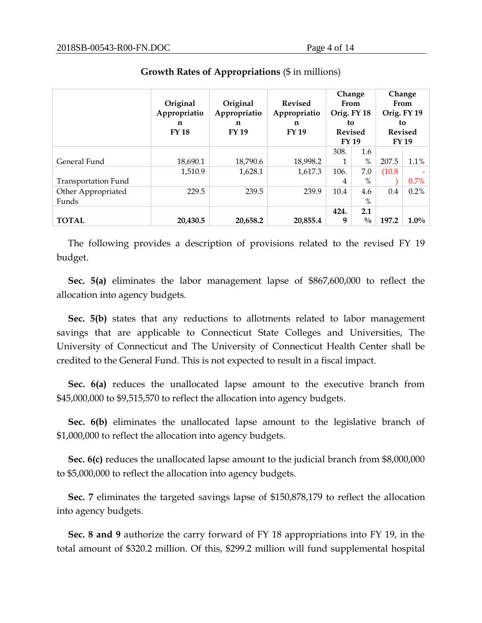|                            | Original<br>Appropriatio<br>n<br><b>FY18</b> | Original<br>Appropriatio<br>n<br><b>FY 19</b> | Change<br><b>Revised</b><br>From<br>Orig. FY 18<br>Appropriatio<br>to<br>n<br><b>FY 19</b><br><b>Revised</b><br><b>FY 19</b> |      |               |        | Change<br>From<br>Orig. FY 19<br>to<br><b>Revised</b><br><b>FY 19</b> |
|----------------------------|----------------------------------------------|-----------------------------------------------|------------------------------------------------------------------------------------------------------------------------------|------|---------------|--------|-----------------------------------------------------------------------|
|                            |                                              |                                               |                                                                                                                              | 308. | 1.6           |        |                                                                       |
| General Fund               | 18,690.1                                     | 18,790.6                                      | 18,998.2                                                                                                                     | 1    | $\%$          | 207.5  | 1.1%                                                                  |
|                            | 1,510.9                                      | 1,628.1                                       | 1,617.3                                                                                                                      | 106. | 7.0           | (10.8) |                                                                       |
| <b>Transportation Fund</b> |                                              |                                               |                                                                                                                              | 4    | $\%$          |        | $0.7\%$                                                               |
| Other Appropriated         | 229.5                                        | 239.5                                         | 239.9                                                                                                                        | 10.4 | 4.6           | 0.4    | 0.2%                                                                  |
| Funds                      |                                              |                                               |                                                                                                                              |      | $\%$          |        |                                                                       |
|                            |                                              |                                               |                                                                                                                              | 424. | 2.1           |        |                                                                       |
| <b>TOTAL</b>               | 20,430.5                                     | 20,658.2                                      | 20,855.4                                                                                                                     | 9    | $\frac{0}{0}$ | 197.2  | $1.0\%$                                                               |

#### **Growth Rates of Appropriations** (\$ in millions)

The following provides a description of provisions related to the revised FY 19 budget.

**Sec. 5(a)** eliminates the labor management lapse of \$867,600,000 to reflect the allocation into agency budgets.

**Sec. 5(b)** states that any reductions to allotments related to labor management savings that are applicable to Connecticut State Colleges and Universities, The University of Connecticut and The University of Connecticut Health Center shall be credited to the General Fund. This is not expected to result in a fiscal impact.

**Sec. 6(a)** reduces the unallocated lapse amount to the executive branch from \$45,000,000 to \$9,515,570 to reflect the allocation into agency budgets.

**Sec. 6(b)** eliminates the unallocated lapse amount to the legislative branch of \$1,000,000 to reflect the allocation into agency budgets.

**Sec. 6(c)** reduces the unallocated lapse amount to the judicial branch from \$8,000,000 to \$5,000,000 to reflect the allocation into agency budgets.

**Sec. 7** eliminates the targeted savings lapse of \$150,878,179 to reflect the allocation into agency budgets.

**Sec. 8 and 9** authorize the carry forward of FY 18 appropriations into FY 19, in the total amount of \$320.2 million. Of this, \$299.2 million will fund supplemental hospital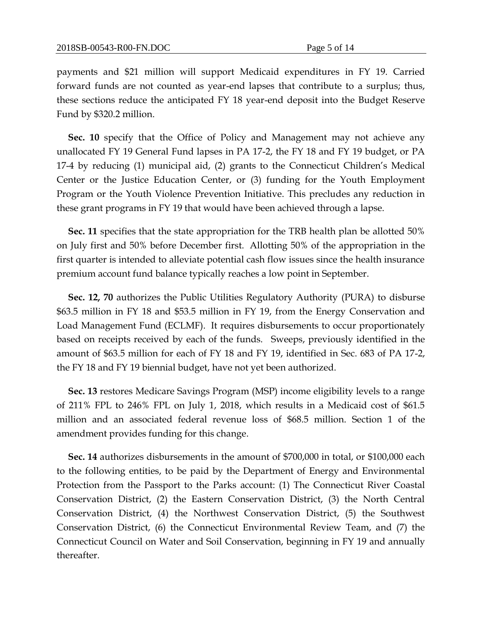payments and \$21 million will support Medicaid expenditures in FY 19. Carried forward funds are not counted as year-end lapses that contribute to a surplus; thus, these sections reduce the anticipated FY 18 year-end deposit into the Budget Reserve Fund by \$320.2 million.

**Sec. 10** specify that the Office of Policy and Management may not achieve any unallocated FY 19 General Fund lapses in PA 17-2, the FY 18 and FY 19 budget, or PA 17-4 by reducing (1) municipal aid, (2) grants to the Connecticut Children's Medical Center or the Justice Education Center, or (3) funding for the Youth Employment Program or the Youth Violence Prevention Initiative. This precludes any reduction in these grant programs in FY 19 that would have been achieved through a lapse.

**Sec. 11** specifies that the state appropriation for the TRB health plan be allotted 50% on July first and 50% before December first. Allotting 50% of the appropriation in the first quarter is intended to alleviate potential cash flow issues since the health insurance premium account fund balance typically reaches a low point in September.

**Sec. 12, 70** authorizes the Public Utilities Regulatory Authority (PURA) to disburse \$63.5 million in FY 18 and \$53.5 million in FY 19, from the Energy Conservation and Load Management Fund (ECLMF). It requires disbursements to occur proportionately based on receipts received by each of the funds. Sweeps, previously identified in the amount of \$63.5 million for each of FY 18 and FY 19, identified in Sec. 683 of PA 17-2, the FY 18 and FY 19 biennial budget, have not yet been authorized.

**Sec. 13** restores Medicare Savings Program (MSP) income eligibility levels to a range of 211% FPL to 246% FPL on July 1, 2018, which results in a Medicaid cost of \$61.5 million and an associated federal revenue loss of \$68.5 million. Section 1 of the amendment provides funding for this change.

**Sec. 14** authorizes disbursements in the amount of \$700,000 in total, or \$100,000 each to the following entities, to be paid by the Department of Energy and Environmental Protection from the Passport to the Parks account: (1) The Connecticut River Coastal Conservation District, (2) the Eastern Conservation District, (3) the North Central Conservation District, (4) the Northwest Conservation District, (5) the Southwest Conservation District, (6) the Connecticut Environmental Review Team, and (7) the Connecticut Council on Water and Soil Conservation, beginning in FY 19 and annually thereafter.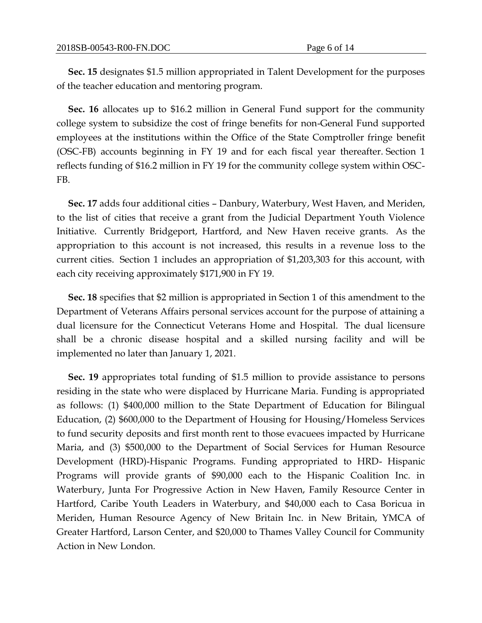**Sec. 15** designates \$1.5 million appropriated in Talent Development for the purposes of the teacher education and mentoring program.

**Sec. 16** allocates up to \$16.2 million in General Fund support for the community college system to subsidize the cost of fringe benefits for non-General Fund supported employees at the institutions within the Office of the State Comptroller fringe benefit (OSC-FB) accounts beginning in FY 19 and for each fiscal year thereafter. Section 1 reflects funding of \$16.2 million in FY 19 for the community college system within OSC-FB.

**Sec. 17** adds four additional cities – Danbury, Waterbury, West Haven, and Meriden, to the list of cities that receive a grant from the Judicial Department Youth Violence Initiative. Currently Bridgeport, Hartford, and New Haven receive grants. As the appropriation to this account is not increased, this results in a revenue loss to the current cities. Section 1 includes an appropriation of \$1,203,303 for this account, with each city receiving approximately \$171,900 in FY 19.

**Sec. 18** specifies that \$2 million is appropriated in Section 1 of this amendment to the Department of Veterans Affairs personal services account for the purpose of attaining a dual licensure for the Connecticut Veterans Home and Hospital. The dual licensure shall be a chronic disease hospital and a skilled nursing facility and will be implemented no later than January 1, 2021.

**Sec. 19** appropriates total funding of \$1.5 million to provide assistance to persons residing in the state who were displaced by Hurricane Maria. Funding is appropriated as follows: (1) \$400,000 million to the State Department of Education for Bilingual Education, (2) \$600,000 to the Department of Housing for Housing/Homeless Services to fund security deposits and first month rent to those evacuees impacted by Hurricane Maria, and (3) \$500,000 to the Department of Social Services for Human Resource Development (HRD)-Hispanic Programs. Funding appropriated to HRD- Hispanic Programs will provide grants of \$90,000 each to the Hispanic Coalition Inc. in Waterbury, Junta For Progressive Action in New Haven, Family Resource Center in Hartford, Caribe Youth Leaders in Waterbury, and \$40,000 each to Casa Boricua in Meriden, Human Resource Agency of New Britain Inc. in New Britain, YMCA of Greater Hartford, Larson Center, and \$20,000 to Thames Valley Council for Community Action in New London.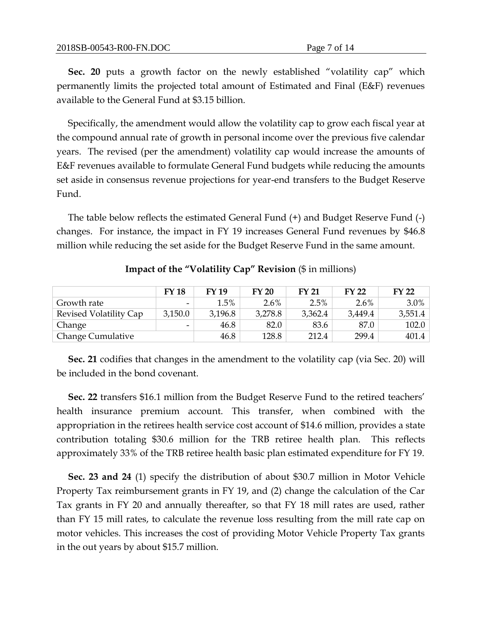**Sec. 20** puts a growth factor on the newly established "volatility cap" which permanently limits the projected total amount of Estimated and Final (E&F) revenues available to the General Fund at \$3.15 billion.

Specifically, the amendment would allow the volatility cap to grow each fiscal year at the compound annual rate of growth in personal income over the previous five calendar years. The revised (per the amendment) volatility cap would increase the amounts of E&F revenues available to formulate General Fund budgets while reducing the amounts set aside in consensus revenue projections for year-end transfers to the Budget Reserve Fund.

The table below reflects the estimated General Fund (+) and Budget Reserve Fund (-) changes. For instance, the impact in FY 19 increases General Fund revenues by \$46.8 million while reducing the set aside for the Budget Reserve Fund in the same amount.

|                          | <b>FY18</b>              | <b>FY 19</b> | <b>FY 20</b> | <b>FY 21</b> | <b>FY 22</b> | <b>FY 22</b> |
|--------------------------|--------------------------|--------------|--------------|--------------|--------------|--------------|
| Growth rate              | $\overline{\phantom{0}}$ | 1.5%         | $2.6\%$      | 2.5%         | $2.6\%$      | $3.0\%$      |
| Revised Volatility Cap   | 3,150.0                  | 3,196.8      | 3,278.8      | 3,362.4      | 3,449.4      | 3,551.4      |
| Change                   | $\overline{\phantom{a}}$ | 46.8         | 82.0         | 83.6         | 87.0         | 102.0        |
| <b>Change Cumulative</b> |                          | 46.8         | 128.8        | 212.4        | 299.4        | 401.4        |

**Impact of the "Volatility Cap" Revision** (\$ in millions)

**Sec. 21** codifies that changes in the amendment to the volatility cap (via Sec. 20) will be included in the bond covenant.

**Sec. 22** transfers \$16.1 million from the Budget Reserve Fund to the retired teachers' health insurance premium account. This transfer, when combined with the appropriation in the retirees health service cost account of \$14.6 million, provides a state contribution totaling \$30.6 million for the TRB retiree health plan. This reflects approximately 33% of the TRB retiree health basic plan estimated expenditure for FY 19.

**Sec. 23 and 24** (1) specify the distribution of about \$30.7 million in Motor Vehicle Property Tax reimbursement grants in FY 19, and (2) change the calculation of the Car Tax grants in FY 20 and annually thereafter, so that FY 18 mill rates are used, rather than FY 15 mill rates, to calculate the revenue loss resulting from the mill rate cap on motor vehicles. This increases the cost of providing Motor Vehicle Property Tax grants in the out years by about \$15.7 million.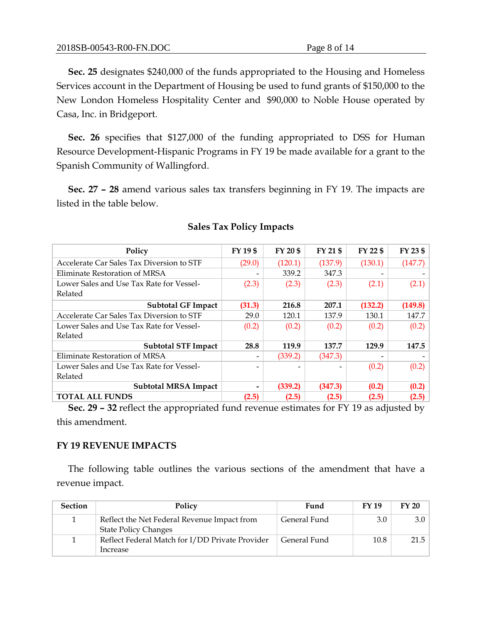**Sec. 25** designates \$240,000 of the funds appropriated to the Housing and Homeless Services account in the Department of Housing be used to fund grants of \$150,000 to the New London Homeless Hospitality Center and \$90,000 to Noble House operated by Casa, Inc. in Bridgeport.

**Sec. 26** specifies that \$127,000 of the funding appropriated to DSS for Human Resource Development-Hispanic Programs in FY 19 be made available for a grant to the Spanish Community of Wallingford.

**Sec. 27 – 28** amend various sales tax transfers beginning in FY 19. The impacts are listed in the table below.

| Policy                                    | FY 19 \$ | FY 20 \$ | FY 21 \$ | FY 22 \$ | FY 23 \$ |
|-------------------------------------------|----------|----------|----------|----------|----------|
| Accelerate Car Sales Tax Diversion to STF | (29.0)   | (120.1)  | (137.9)  | (130.1)  | (147.7)  |
| Eliminate Restoration of MRSA             |          | 339.2    | 347.3    |          |          |
| Lower Sales and Use Tax Rate for Vessel-  | (2.3)    | (2.3)    | (2.3)    | (2.1)    | (2.1)    |
| Related                                   |          |          |          |          |          |
| <b>Subtotal GF Impact</b>                 | (31.3)   | 216.8    | 207.1    | (132.2)  | (149.8)  |
| Accelerate Car Sales Tax Diversion to STF | 29.0     | 120.1    | 137.9    | 130.1    | 147.7    |
| Lower Sales and Use Tax Rate for Vessel-  | (0.2)    | (0.2)    | (0.2)    | (0.2)    | (0.2)    |
| Related                                   |          |          |          |          |          |
| <b>Subtotal STF Impact</b>                | 28.8     | 119.9    | 137.7    | 129.9    | 147.5    |
| Eliminate Restoration of MRSA             |          | (339.2)  | (347.3)  |          |          |
| Lower Sales and Use Tax Rate for Vessel-  |          |          |          | (0.2)    | (0.2)    |
| Related                                   |          |          |          |          |          |
| <b>Subtotal MRSA Impact</b>               |          | (339.2)  | (347.3)  | (0.2)    | (0.2)    |
| <b>TOTAL ALL FUNDS</b>                    | (2.5)    | (2.5)    | (2.5)    | (2.5)    | (2.5)    |

## **Sales Tax Policy Impacts**

**Sec. 29 – 32** reflect the appropriated fund revenue estimates for FY 19 as adjusted by this amendment.

## **FY 19 REVENUE IMPACTS**

The following table outlines the various sections of the amendment that have a revenue impact.

| <b>Section</b> | Policy                                                                     | Fund         | FY 19 | FY 20 |
|----------------|----------------------------------------------------------------------------|--------------|-------|-------|
|                | Reflect the Net Federal Revenue Impact from<br><b>State Policy Changes</b> | General Fund | 3.0   | 3.0   |
|                | Reflect Federal Match for I/DD Private Provider<br>Increase                | General Fund | 10.8  | 21.5  |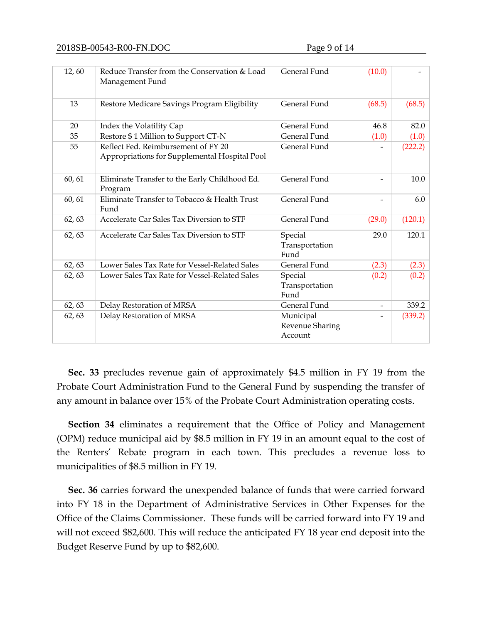| 12,60  | Reduce Transfer from the Conservation & Load<br>Management Fund                      | General Fund                            | (10.0)                       |         |
|--------|--------------------------------------------------------------------------------------|-----------------------------------------|------------------------------|---------|
| 13     | Restore Medicare Savings Program Eligibility                                         | General Fund                            | (68.5)                       | (68.5)  |
| 20     | Index the Volatility Cap                                                             | General Fund                            | 46.8                         | 82.0    |
| 35     | Restore \$1 Million to Support CT-N                                                  | General Fund                            | (1.0)                        | (1.0)   |
| 55     | Reflect Fed. Reimbursement of FY 20<br>Appropriations for Supplemental Hospital Pool | General Fund                            |                              | (222.2) |
| 60, 61 | Eliminate Transfer to the Early Childhood Ed.<br>Program                             | General Fund                            | $\overline{\phantom{0}}$     | 10.0    |
| 60, 61 | Eliminate Transfer to Tobacco & Health Trust<br>Fund                                 | General Fund                            |                              | 6.0     |
| 62, 63 | Accelerate Car Sales Tax Diversion to STF                                            | General Fund                            | (29.0)                       | (120.1) |
| 62, 63 | Accelerate Car Sales Tax Diversion to STF                                            | Special<br>Transportation<br>Fund       | 29.0                         | 120.1   |
| 62, 63 | Lower Sales Tax Rate for Vessel-Related Sales                                        | <b>General Fund</b>                     | (2.3)                        | (2.3)   |
| 62, 63 | Lower Sales Tax Rate for Vessel-Related Sales                                        | Special<br>Transportation<br>Fund       | (0.2)                        | (0.2)   |
| 62, 63 | Delay Restoration of MRSA                                                            | General Fund                            | $\qquad \qquad \blacksquare$ | 339.2   |
| 62, 63 | Delay Restoration of MRSA                                                            | Municipal<br>Revenue Sharing<br>Account | $\overline{\phantom{a}}$     | (339.2) |

**Sec. 33** precludes revenue gain of approximately \$4.5 million in FY 19 from the Probate Court Administration Fund to the General Fund by suspending the transfer of any amount in balance over 15% of the Probate Court Administration operating costs.

**Section 34** eliminates a requirement that the Office of Policy and Management (OPM) reduce municipal aid by \$8.5 million in FY 19 in an amount equal to the cost of the Renters' Rebate program in each town. This precludes a revenue loss to municipalities of \$8.5 million in FY 19.

**Sec. 36** carries forward the unexpended balance of funds that were carried forward into FY 18 in the Department of Administrative Services in Other Expenses for the Office of the Claims Commissioner. These funds will be carried forward into FY 19 and will not exceed \$82,600. This will reduce the anticipated FY 18 year end deposit into the Budget Reserve Fund by up to \$82,600.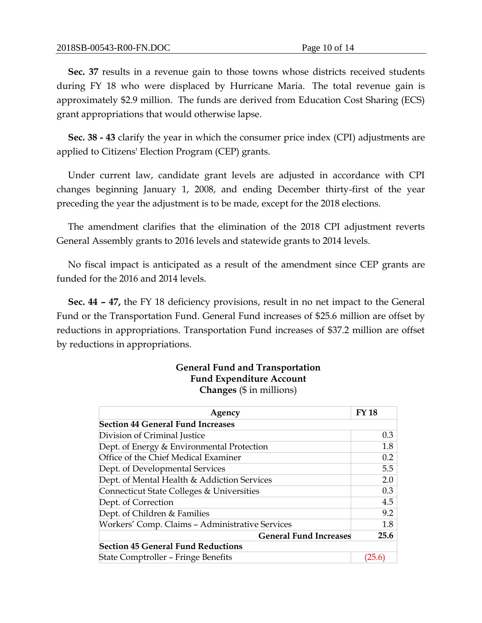**Sec. 37** results in a revenue gain to those towns whose districts received students during FY 18 who were displaced by Hurricane Maria. The total revenue gain is approximately \$2.9 million. The funds are derived from Education Cost Sharing (ECS) grant appropriations that would otherwise lapse.

**Sec. 38 - 43** clarify the year in which the consumer price index (CPI) adjustments are applied to Citizens' Election Program (CEP) grants.

Under current law, candidate grant levels are adjusted in accordance with CPI changes beginning January 1, 2008, and ending December thirty-first of the year preceding the year the adjustment is to be made, except for the 2018 elections.

The amendment clarifies that the elimination of the 2018 CPI adjustment reverts General Assembly grants to 2016 levels and statewide grants to 2014 levels.

No fiscal impact is anticipated as a result of the amendment since CEP grants are funded for the 2016 and 2014 levels.

**Sec. 44 – 47,** the FY 18 deficiency provisions, result in no net impact to the General Fund or the Transportation Fund. General Fund increases of \$25.6 million are offset by reductions in appropriations. Transportation Fund increases of \$37.2 million are offset by reductions in appropriations.

## **General Fund and Transportation Fund Expenditure Account Changes** (\$ in millions)

| Agency                                          | <b>FY 18</b> |  |  |
|-------------------------------------------------|--------------|--|--|
| <b>Section 44 General Fund Increases</b>        |              |  |  |
| Division of Criminal Justice                    | 0.3          |  |  |
| Dept. of Energy & Environmental Protection      | 1.8          |  |  |
| Office of the Chief Medical Examiner            | 0.2          |  |  |
| Dept. of Developmental Services                 | 5.5          |  |  |
| Dept. of Mental Health & Addiction Services     |              |  |  |
| Connecticut State Colleges & Universities       |              |  |  |
| Dept. of Correction                             | 4.5          |  |  |
| Dept. of Children & Families                    | 9.2          |  |  |
| Workers' Comp. Claims - Administrative Services | 1.8          |  |  |
| <b>General Fund Increases</b>                   | 25.6         |  |  |
| <b>Section 45 General Fund Reductions</b>       |              |  |  |
| <b>State Comptroller - Fringe Benefits</b>      | (25.6        |  |  |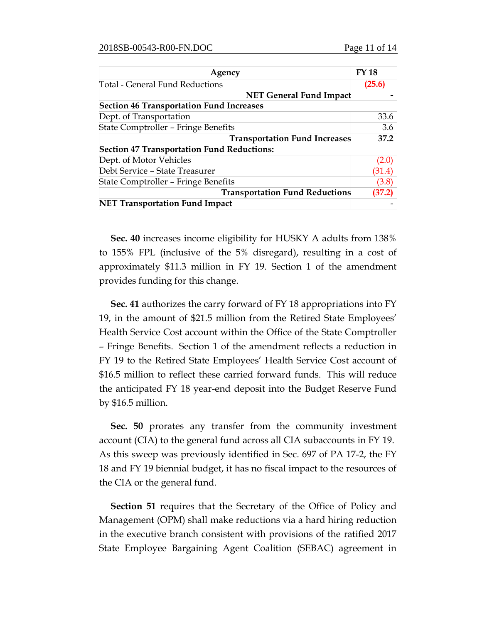| Agency                                            | <b>FY 18</b> |
|---------------------------------------------------|--------------|
| Total - General Fund Reductions                   | (25.6)       |
| <b>NET General Fund Impact</b>                    |              |
| <b>Section 46 Transportation Fund Increases</b>   |              |
| Dept. of Transportation                           | 33.6         |
| State Comptroller - Fringe Benefits               | 3.6          |
| <b>Transportation Fund Increases</b>              | 37.2         |
| <b>Section 47 Transportation Fund Reductions:</b> |              |
| Dept. of Motor Vehicles                           | (2.0)        |
| Debt Service - State Treasurer                    | (31.4)       |
| State Comptroller – Fringe Benefits               | (3.8)        |
| <b>Transportation Fund Reductions</b>             | (37.2)       |
| <b>NET Transportation Fund Impact</b>             |              |

**Sec. 40** increases income eligibility for HUSKY A adults from 138% to 155% FPL (inclusive of the 5% disregard), resulting in a cost of approximately \$11.3 million in FY 19. Section 1 of the amendment provides funding for this change.

**Sec. 41** authorizes the carry forward of FY 18 appropriations into FY 19, in the amount of \$21.5 million from the Retired State Employees' Health Service Cost account within the Office of the State Comptroller – Fringe Benefits. Section 1 of the amendment reflects a reduction in FY 19 to the Retired State Employees' Health Service Cost account of \$16.5 million to reflect these carried forward funds. This will reduce the anticipated FY 18 year-end deposit into the Budget Reserve Fund by \$16.5 million.

**Sec. 50** prorates any transfer from the community investment account (CIA) to the general fund across all CIA subaccounts in FY 19. As this sweep was previously identified in Sec. 697 of PA 17-2, the FY 18 and FY 19 biennial budget, it has no fiscal impact to the resources of the CIA or the general fund.

**Section 51** requires that the Secretary of the Office of Policy and Management (OPM) shall make reductions via a hard hiring reduction in the executive branch consistent with provisions of the ratified 2017 State Employee Bargaining Agent Coalition (SEBAC) agreement in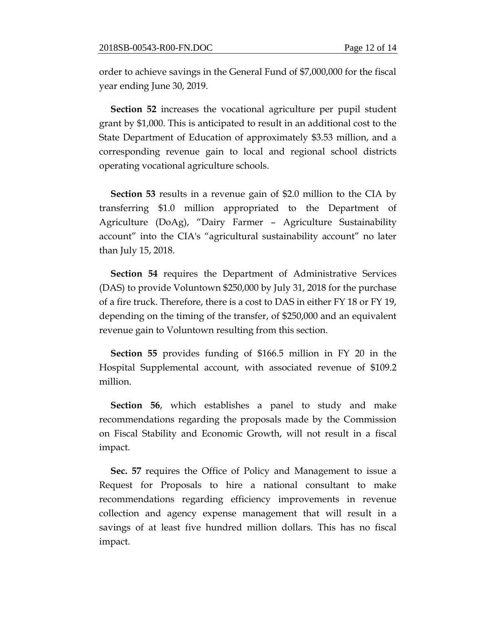order to achieve savings in the General Fund of \$7,000,000 for the fiscal year ending June 30, 2019.

**Section 52** increases the vocational agriculture per pupil student grant by \$1,000. This is anticipated to result in an additional cost to the State Department of Education of approximately \$3.53 million, and a corresponding revenue gain to local and regional school districts operating vocational agriculture schools.

**Section 53** results in a revenue gain of \$2.0 million to the CIA by transferring \$1.0 million appropriated to the Department of Agriculture (DoAg), "Dairy Farmer – Agriculture Sustainability account" into the CIA's "agricultural sustainability account" no later than July 15, 2018.

**Section 54** requires the Department of Administrative Services (DAS) to provide Voluntown \$250,000 by July 31, 2018 for the purchase of a fire truck. Therefore, there is a cost to DAS in either FY 18 or FY 19, depending on the timing of the transfer, of \$250,000 and an equivalent revenue gain to Voluntown resulting from this section.

**Section 55** provides funding of \$166.5 million in FY 20 in the Hospital Supplemental account, with associated revenue of \$109.2 million.

**Section 56**, which establishes a panel to study and make recommendations regarding the proposals made by the Commission on Fiscal Stability and Economic Growth, will not result in a fiscal impact.

**Sec. 57** requires the Office of Policy and Management to issue a Request for Proposals to hire a national consultant to make recommendations regarding efficiency improvements in revenue collection and agency expense management that will result in a savings of at least five hundred million dollars. This has no fiscal impact.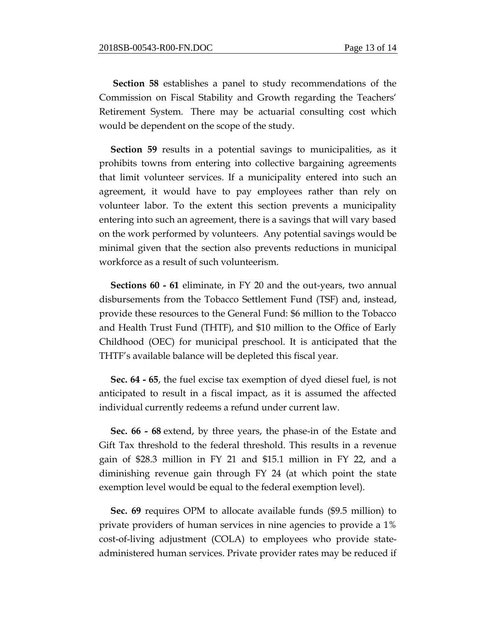**Section 58** establishes a panel to study recommendations of the Commission on Fiscal Stability and Growth regarding the Teachers' Retirement System. There may be actuarial consulting cost which would be dependent on the scope of the study.

**Section 59** results in a potential savings to municipalities, as it prohibits towns from entering into collective bargaining agreements that limit volunteer services. If a municipality entered into such an agreement, it would have to pay employees rather than rely on volunteer labor. To the extent this section prevents a municipality entering into such an agreement, there is a savings that will vary based on the work performed by volunteers. Any potential savings would be minimal given that the section also prevents reductions in municipal workforce as a result of such volunteerism.

**Sections 60 - 61** eliminate, in FY 20 and the out-years, two annual disbursements from the Tobacco Settlement Fund (TSF) and, instead, provide these resources to the General Fund: \$6 million to the Tobacco and Health Trust Fund (THTF), and \$10 million to the Office of Early Childhood (OEC) for municipal preschool. It is anticipated that the THTF's available balance will be depleted this fiscal year.

**Sec. 64 - 65**, the fuel excise tax exemption of dyed diesel fuel, is not anticipated to result in a fiscal impact, as it is assumed the affected individual currently redeems a refund under current law.

**Sec. 66 - 68** extend, by three years, the phase-in of the Estate and Gift Tax threshold to the federal threshold. This results in a revenue gain of \$28.3 million in FY 21 and \$15.1 million in FY 22, and a diminishing revenue gain through FY 24 (at which point the state exemption level would be equal to the federal exemption level).

**Sec. 69** requires OPM to allocate available funds (\$9.5 million) to private providers of human services in nine agencies to provide a 1% cost-of-living adjustment (COLA) to employees who provide stateadministered human services. Private provider rates may be reduced if